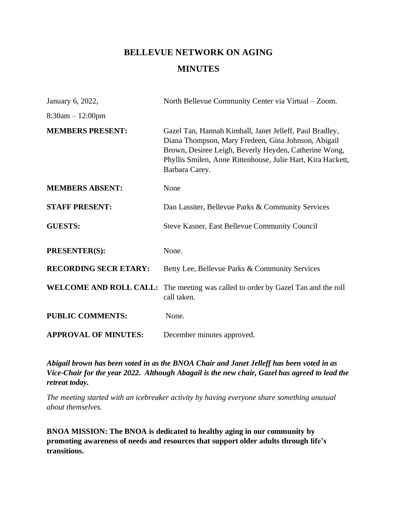# **BELLEVUE NETWORK ON AGING MINUTES**

| January 6, 2022,              | North Bellevue Community Center via Virtual – Zoom.                                                                                                                                                                                                      |
|-------------------------------|----------------------------------------------------------------------------------------------------------------------------------------------------------------------------------------------------------------------------------------------------------|
| $8:30am - 12:00pm$            |                                                                                                                                                                                                                                                          |
| <b>MEMBERS PRESENT:</b>       | Gazel Tan, Hannah Kimball, Janet Jelleff, Paul Bradley,<br>Diana Thompson, Mary Fredeen, Gina Johnson, Abigail<br>Brown, Desiree Leigh, Beverly Heyden, Catherine Wong,<br>Phyllis Smilen, Anne Rittenhouse, Julie Hart, Kira Hackett,<br>Barbara Carey. |
| <b>MEMBERS ABSENT:</b>        | None                                                                                                                                                                                                                                                     |
| <b>STAFF PRESENT:</b>         | Dan Lassiter, Bellevue Parks & Community Services                                                                                                                                                                                                        |
| <b>GUESTS:</b>                | Steve Kasner, East Bellevue Community Council                                                                                                                                                                                                            |
| PRESENTER(S):                 | None.                                                                                                                                                                                                                                                    |
| <b>RECORDING SECR ETARY:</b>  | Betty Lee, Bellevue Parks & Community Services                                                                                                                                                                                                           |
| <b>WELCOME AND ROLL CALL:</b> | The meeting was called to order by Gazel Tan and the roll<br>call taken.                                                                                                                                                                                 |
| <b>PUBLIC COMMENTS:</b>       | None.                                                                                                                                                                                                                                                    |
| <b>APPROVAL OF MINUTES:</b>   | December minutes approved.                                                                                                                                                                                                                               |

*Abigail brown has been voted in as the BNOA Chair and Janet Jelleff has been voted in as Vice-Chair for the year 2022. Although Abagail is the new chair, Gazel has agreed to lead the retreat today.* 

*The meeting started with an icebreaker activity by having everyone share something unusual about themselves.* 

**BNOA MISSION: The BNOA is dedicated to healthy aging in our community by promoting awareness of needs and resources that support older adults through life's transitions.**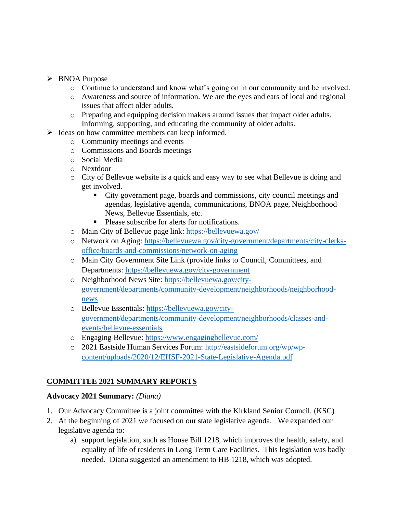#### ➢ BNOA Purpose

- o Continue to understand and know what's going on in our community and be involved.
- o Awareness and source of information. We are the eyes and ears of local and regional issues that affect older adults.
- o Preparing and equipping decision makers around issues that impact older adults. Informing, supporting, and educating the community of older adults.
- $\triangleright$  Ideas on how committee members can keep informed.
	- o Community meetings and events
	- o Commissions and Boards meetings
	- o Social Media
	- o Nextdoor
	- o City of Bellevue website is a quick and easy way to see what Bellevue is doing and get involved.
		- City government page, boards and commissions, city council meetings and agendas, legislative agenda, communications, BNOA page, Neighborhood News, Bellevue Essentials, etc.
		- Please subscribe for alerts for notifications.
	- o Main City of Bellevue page link:<https://bellevuewa.gov/>
	- o Network on Aging: [https://bellevuewa.gov/city-government/departments/city-clerks](https://bellevuewa.gov/city-government/departments/city-clerks-office/boards-and-commissions/network-on-aging)[office/boards-and-commissions/network-on-aging](https://bellevuewa.gov/city-government/departments/city-clerks-office/boards-and-commissions/network-on-aging)
	- o Main City Government Site Link (provide links to Council, Committees, and Departments:<https://bellevuewa.gov/city-government>
	- o Neighborhood News Site: [https://bellevuewa.gov/city](https://bellevuewa.gov/city-government/departments/community-development/neighborhoods/neighborhood-news)[government/departments/community-development/neighborhoods/neighborhood](https://bellevuewa.gov/city-government/departments/community-development/neighborhoods/neighborhood-news)[news](https://bellevuewa.gov/city-government/departments/community-development/neighborhoods/neighborhood-news)
	- o Bellevue Essentials: [https://bellevuewa.gov/city](https://bellevuewa.gov/city-government/departments/community-development/neighborhoods/classes-and-events/bellevue-essentials)[government/departments/community-development/neighborhoods/classes-and](https://bellevuewa.gov/city-government/departments/community-development/neighborhoods/classes-and-events/bellevue-essentials)[events/bellevue-essentials](https://bellevuewa.gov/city-government/departments/community-development/neighborhoods/classes-and-events/bellevue-essentials)
	- o Engaging Bellevue:<https://www.engagingbellevue.com/>
	- o 2021 Eastside Human Services Forum: [http://eastsideforum.org/wp/wp](http://eastsideforum.org/wp/wp-content/uploads/2020/12/EHSF-2021-State-Legislative-Agenda.pdf)[content/uploads/2020/12/EHSF-2021-State-Legislative-Agenda.pdf](http://eastsideforum.org/wp/wp-content/uploads/2020/12/EHSF-2021-State-Legislative-Agenda.pdf)

#### **COMMITTEE 2021 SUMMARY REPORTS**

#### **Advocacy 2021 Summary:** *(Diana)*

- 1. Our Advocacy Committee is a joint committee with the Kirkland Senior Council. (KSC)
- 2. At the beginning of 2021 we focused on our state legislative agenda. We expanded our legislative agenda to:
	- a) support legislation, such as House Bill 1218, which improves the health, safety, and equality of life of residents in Long Term Care Facilities. This legislation was badly needed. Diana suggested an amendment to HB 1218, which was adopted.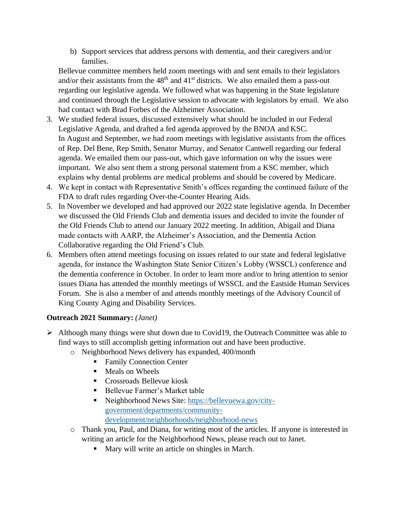b) Support services that address persons with dementia, and their caregivers and/or families.

Bellevue committee members held zoom meetings with and sent emails to their legislators and/or their assistants from the  $48<sup>th</sup>$  and  $41<sup>st</sup>$  districts. We also emailed them a pass-out regarding our legislative agenda. We followed what was happening in the State legislature and continued through the Legislative session to advocate with legislators by email. We also had contact with Brad Forbes of the Alzheimer Association.

- 3. We studied federal issues, discussed extensively what should be included in our Federal Legislative Agenda, and drafted a fed agenda approved by the BNOA and KSC. In August and September, we had zoom meetings with legislative assistants from the offices of Rep. Del Bene, Rep Smith, Senator Murray, and Senator Cantwell regarding our federal agenda. We emailed them our pass-out, which gave information on why the issues were important. We also sent them a strong personal statement from a KSC member, which explains why dental problems *are* medical problems and should be covered by Medicare.
- 4. We kept in contact with Representative Smith's offices regarding the continued failure of the FDA to draft rules regarding Over-the-Counter Hearing Aids.
- 5. In November we developed and had approved our 2022 state legislative agenda. In December we discussed the Old Friends Club and dementia issues and decided to invite the founder of the Old Friends Club to attend our January 2022 meeting. In addition, Abigail and Diana made contacts with AARP, the Alzheimer's Association, and the Dementia Action Collaborative regarding the Old Friend's Club.
- 6. Members often attend meetings focusing on issues related to our state and federal legislative agenda, for instance the Washington State Senior Citizen's Lobby (WSSCL) conference and the dementia conference in October. In order to learn more and/or to bring attention to senior issues Diana has attended the monthly meetings of WSSCL and the Eastside Human Services Forum. She is also a member of and attends monthly meetings of the Advisory Council of King County Aging and Disability Services.

# **Outreach 2021 Summary:** *(Janet)*

- $\triangleright$  Although many things were shut down due to Covid19, the Outreach Committee was able to find ways to still accomplish getting information out and have been productive.
	- o Neighborhood News delivery has expanded, 400/month
		- Family Connection Center
		- Meals on Wheels
		- Crossroads Bellevue kiosk
		- Bellevue Farmer's Market table
		- Neighborhood News Site: [https://bellevuewa.gov/city](https://bellevuewa.gov/city-government/departments/community-development/neighborhoods/neighborhood-news)[government/departments/community](https://bellevuewa.gov/city-government/departments/community-development/neighborhoods/neighborhood-news)[development/neighborhoods/neighborhood-news](https://bellevuewa.gov/city-government/departments/community-development/neighborhoods/neighborhood-news)
	- o Thank you, Paul, and Diana, for writing most of the articles. If anyone is interested in writing an article for the Neighborhood News, please reach out to Janet.
		- Mary will write an article on shingles in March.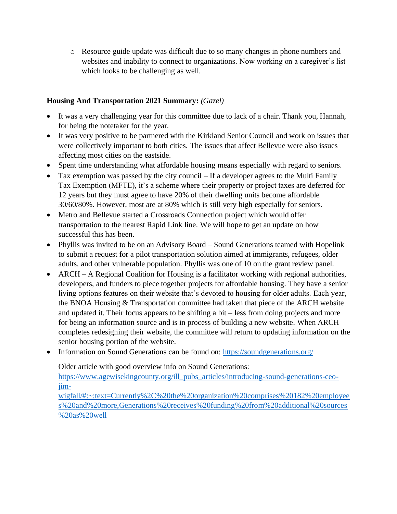o Resource guide update was difficult due to so many changes in phone numbers and websites and inability to connect to organizations. Now working on a caregiver's list which looks to be challenging as well.

#### **Housing And Transportation 2021 Summary:** *(Gazel)*

- It was a very challenging year for this committee due to lack of a chair. Thank you, Hannah, for being the notetaker for the year.
- It was very positive to be partnered with the Kirkland Senior Council and work on issues that were collectively important to both cities. The issues that affect Bellevue were also issues affecting most cities on the eastside.
- Spent time understanding what affordable housing means especially with regard to seniors.
- Tax exemption was passed by the city council If a developer agrees to the Multi Family Tax Exemption (MFTE), it's a scheme where their property or project taxes are deferred for 12 years but they must agree to have 20% of their dwelling units become affordable 30/60/80%. However, most are at 80% which is still very high especially for seniors.
- Metro and Bellevue started a Crossroads Connection project which would offer transportation to the nearest Rapid Link line. We will hope to get an update on how successful this has been.
- Phyllis was invited to be on an Advisory Board Sound Generations teamed with Hopelink to submit a request for a pilot transportation solution aimed at immigrants, refugees, older adults, and other vulnerable population. Phyllis was one of 10 on the grant review panel.
- ARCH A Regional Coalition for Housing is a facilitator working with regional authorities, developers, and funders to piece together projects for affordable housing. They have a senior living options features on their website that's devoted to housing for older adults. Each year, the BNOA Housing & Transportation committee had taken that piece of the ARCH website and updated it. Their focus appears to be shifting a bit – less from doing projects and more for being an information source and is in process of building a new website. When ARCH completes redesigning their website, the committee will return to updating information on the senior housing portion of the website.
- Information on Sound Generations can be found on:<https://soundgenerations.org/>

Older article with good overview info on Sound Generations:

[https://www.agewisekingcounty.org/ill\\_pubs\\_articles/introducing-sound-generations-ceo](https://www.agewisekingcounty.org/ill_pubs_articles/introducing-sound-generations-ceo-jim-wigfall/#:~:text=Currently%2C%20the%20organization%20comprises%20182%20employees%20and%20more,Generations%20receives%20funding%20from%20additional%20sources%20as%20well)[jim-](https://www.agewisekingcounty.org/ill_pubs_articles/introducing-sound-generations-ceo-jim-wigfall/#:~:text=Currently%2C%20the%20organization%20comprises%20182%20employees%20and%20more,Generations%20receives%20funding%20from%20additional%20sources%20as%20well)

[wigfall/#:~:text=Currently%2C%20the%20organization%20comprises%20182%20employee](https://www.agewisekingcounty.org/ill_pubs_articles/introducing-sound-generations-ceo-jim-wigfall/#:~:text=Currently%2C%20the%20organization%20comprises%20182%20employees%20and%20more,Generations%20receives%20funding%20from%20additional%20sources%20as%20well) [s%20and%20more,Generations%20receives%20funding%20from%20additional%20sources](https://www.agewisekingcounty.org/ill_pubs_articles/introducing-sound-generations-ceo-jim-wigfall/#:~:text=Currently%2C%20the%20organization%20comprises%20182%20employees%20and%20more,Generations%20receives%20funding%20from%20additional%20sources%20as%20well) [%20as%20well](https://www.agewisekingcounty.org/ill_pubs_articles/introducing-sound-generations-ceo-jim-wigfall/#:~:text=Currently%2C%20the%20organization%20comprises%20182%20employees%20and%20more,Generations%20receives%20funding%20from%20additional%20sources%20as%20well)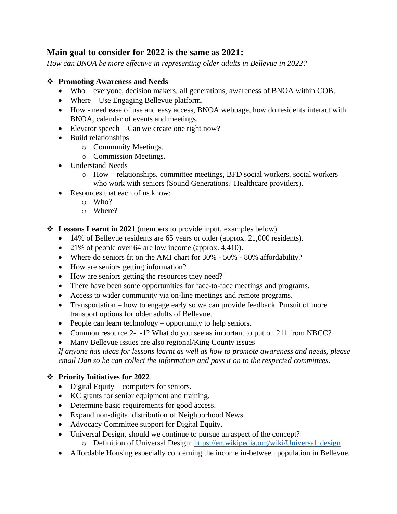# **Main goal to consider for 2022 is the same as 2021:**

*How can BNOA be more effective in representing older adults in Bellevue in 2022?* 

#### ❖ **Promoting Awareness and Needs**

- Who everyone, decision makers, all generations, awareness of BNOA within COB.
- Where Use Engaging Bellevue platform.
- How need ease of use and easy access, BNOA webpage, how do residents interact with BNOA, calendar of events and meetings.
- Elevator speech Can we create one right now?
- Build relationships
	- o Community Meetings.
	- o Commission Meetings.
- Understand Needs
	- o How relationships, committee meetings, BFD social workers, social workers who work with seniors (Sound Generations? Healthcare providers).
- Resources that each of us know:
	- $\circ$  Who?
	- o Where?
- ❖ **Lessons Learnt in 2021** (members to provide input, examples below)
	- 14% of Bellevue residents are 65 years or older (approx. 21,000 residents).
	- 21% of people over 64 are low income (approx.  $4,410$ ).
	- Where do seniors fit on the AMI chart for 30% 50% 80% affordability?
	- How are seniors getting information?
	- How are seniors getting the resources they need?
	- There have been some opportunities for face-to-face meetings and programs.
	- Access to wider community via on-line meetings and remote programs.
	- Transportation how to engage early so we can provide feedback. Pursuit of more transport options for older adults of Bellevue.
	- People can learn technology opportunity to help seniors.
	- Common resource 2-1-1? What do you see as important to put on 211 from NBCC?
	- Many Bellevue issues are also regional/King County issues

*If anyone has ideas for lessons learnt as well as how to promote awareness and needs, please email Dan so he can collect the information and pass it on to the respected committees.* 

# ❖ **Priority Initiatives for 2022**

- Digital Equity computers for seniors.
- KC grants for senior equipment and training.
- Determine basic requirements for good access.
- Expand non-digital distribution of Neighborhood News.
- Advocacy Committee support for Digital Equity.
- Universal Design, should we continue to pursue an aspect of the concept?
	- o Definition of Universal Design: [https://en.wikipedia.org/wiki/Universal\\_design](https://en.wikipedia.org/wiki/Universal_design)
- Affordable Housing especially concerning the income in-between population in Bellevue.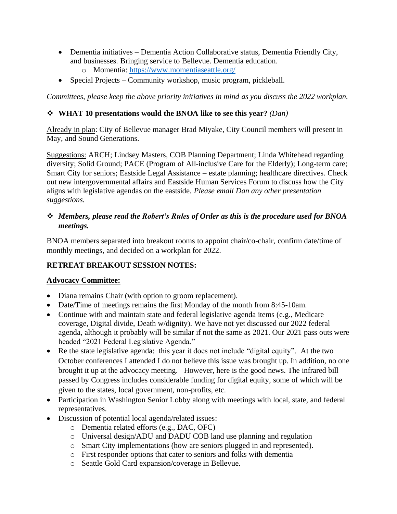- Dementia initiatives Dementia Action Collaborative status, Dementia Friendly City, and businesses. Bringing service to Bellevue. Dementia education.
	- o Momentia:<https://www.momentiaseattle.org/>
- Special Projects Community workshop, music program, pickleball.

*Committees, please keep the above priority initiatives in mind as you discuss the 2022 workplan.* 

# ❖ **WHAT 10 presentations would the BNOA like to see this year?** *(Dan)*

Already in plan: City of Bellevue manager Brad Miyake, City Council members will present in May, and Sound Generations.

Suggestions: ARCH; Lindsey Masters, COB Planning Department; Linda Whitehead regarding diversity; Solid Ground; PACE (Program of All-inclusive Care for the Elderly); Long-term care; Smart City for seniors; Eastside Legal Assistance – estate planning; healthcare directives. Check out new intergovernmental affairs and Eastside Human Services Forum to discuss how the City aligns with legislative agendas on the eastside. *Please email Dan any other presentation suggestions.* 

# ❖ *Members, please read the Robert's Rules of Order as this is the procedure used for BNOA meetings.*

BNOA members separated into breakout rooms to appoint chair/co-chair, confirm date/time of monthly meetings, and decided on a workplan for 2022.

# **RETREAT BREAKOUT SESSION NOTES:**

#### **Advocacy Committee:**

- Diana remains Chair (with option to groom replacement).
- Date/Time of meetings remains the first Monday of the month from 8:45-10am.
- Continue with and maintain state and federal legislative agenda items (e.g., Medicare coverage, Digital divide, Death w/dignity). We have not yet discussed our 2022 federal agenda, although it probably will be similar if not the same as 2021. Our 2021 pass outs were headed "2021 Federal Legislative Agenda."
- Re the state legislative agenda: this year it does not include "digital equity". At the two October conferences I attended I do not believe this issue was brought up. In addition, no one brought it up at the advocacy meeting. However, here is the good news. The infrared bill passed by Congress includes considerable funding for digital equity, some of which will be given to the states, local government, non-profits, etc.
- Participation in Washington Senior Lobby along with meetings with local, state, and federal representatives.
- Discussion of potential local agenda/related issues:
	- o Dementia related efforts (e.g., DAC, OFC)
	- o Universal design/ADU and DADU COB land use planning and regulation
	- o Smart City implementations (how are seniors plugged in and represented).
	- o First responder options that cater to seniors and folks with dementia
	- o Seattle Gold Card expansion/coverage in Bellevue.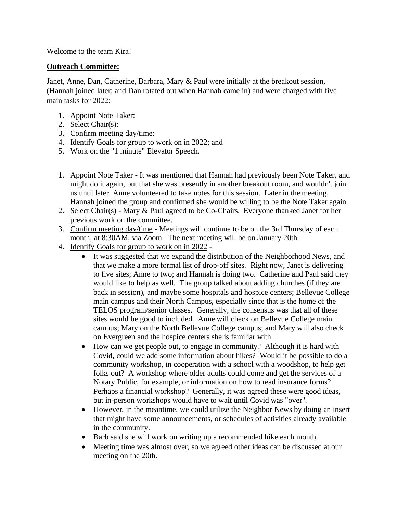Welcome to the team Kira!

#### **Outreach Committee:**

Janet, Anne, Dan, Catherine, Barbara, Mary & Paul were initially at the breakout session, (Hannah joined later; and Dan rotated out when Hannah came in) and were charged with five main tasks for 2022:

- 1. Appoint Note Taker:
- 2. Select Chair(s):
- 3. Confirm meeting day/time:
- 4. Identify Goals for group to work on in 2022; and
- 5. Work on the "1 minute" Elevator Speech.
- 1. Appoint Note Taker It was mentioned that Hannah had previously been Note Taker, and might do it again, but that she was presently in another breakout room, and wouldn't join us until later. Anne volunteered to take notes for this session. Later in the meeting, Hannah joined the group and confirmed she would be willing to be the Note Taker again.
- 2. Select Chair(s) Mary & Paul agreed to be Co-Chairs. Everyone thanked Janet for her previous work on the committee.
- 3. Confirm meeting day/time Meetings will continue to be on the 3rd Thursday of each month, at 8:30AM, via Zoom. The next meeting will be on January 20th.
- 4. Identify Goals for group to work on in 2022
	- It was suggested that we expand the distribution of the Neighborhood News, and that we make a more formal list of drop-off sites. Right now, Janet is delivering to five sites; Anne to two; and Hannah is doing two. Catherine and Paul said they would like to help as well. The group talked about adding churches (if they are back in session), and maybe some hospitals and hospice centers; Bellevue College main campus and their North Campus, especially since that is the home of the TELOS program/senior classes. Generally, the consensus was that all of these sites would be good to included. Anne will check on Bellevue College main campus; Mary on the North Bellevue College campus; and Mary will also check on Evergreen and the hospice centers she is familiar with.
	- How can we get people out, to engage in community? Although it is hard with Covid, could we add some information about hikes? Would it be possible to do a community workshop, in cooperation with a school with a woodshop, to help get folks out? A workshop where older adults could come and get the services of a Notary Public, for example, or information on how to read insurance forms? Perhaps a financial workshop? Generally, it was agreed these were good ideas, but in-person workshops would have to wait until Covid was "over".
	- However, in the meantime, we could utilize the Neighbor News by doing an insert that might have some announcements, or schedules of activities already available in the community.
	- Barb said she will work on writing up a recommended hike each month.
	- Meeting time was almost over, so we agreed other ideas can be discussed at our meeting on the 20th.